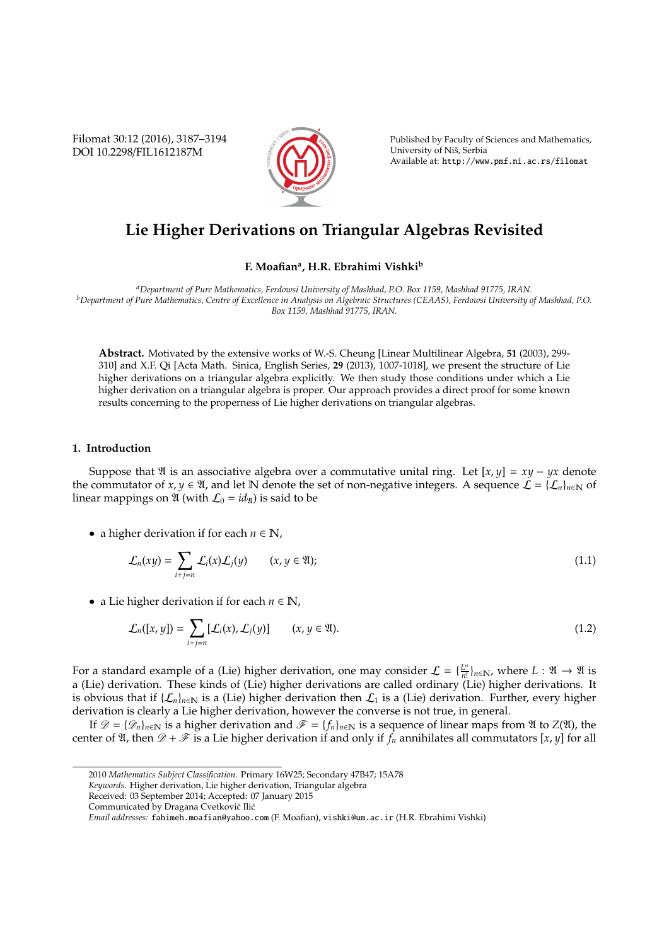Filomat 30:12 (2016), 3187–3194 DOI 10.2298/FIL1612187M



Published by Faculty of Sciences and Mathematics, University of Niš, Serbia Available at: http://www.pmf.ni.ac.rs/filomat

# **Lie Higher Derivations on Triangular Algebras Revisited**

## **F. Moafian<sup>a</sup> , H.R. Ebrahimi Vishki<sup>b</sup>**

*<sup>a</sup>Department of Pure Mathematics, Ferdowsi University of Mashhad, P.O. Box 1159, Mashhad 91775, IRAN. <sup>b</sup>Department of Pure Mathematics, Centre of Excellence in Analysis on Algebraic Structures (CEAAS), Ferdowsi University of Mashhad, P.O. Box 1159, Mashhad 91775, IRAN.*

**Abstract.** Motivated by the extensive works of W.-S. Cheung [Linear Multilinear Algebra, **51** (2003), 299- 310] and X.F. Qi [Acta Math. Sinica, English Series, **29** (2013), 1007-1018], we present the structure of Lie higher derivations on a triangular algebra explicitly. We then study those conditions under which a Lie higher derivation on a triangular algebra is proper. Our approach provides a direct proof for some known results concerning to the properness of Lie higher derivations on triangular algebras.

## **1. Introduction**

Suppose that  $\mathfrak A$  is an associative algebra over a commutative unital ring. Let  $[x, y] = xy - yx$  denote the commutator of *x*, *y* ∈  $\mathfrak{A}$ , and let N denote the set of non-negative integers. A sequence  $\mathcal{L} = {\{\mathcal{L}_n\}}_{n\in\mathbb{N}}$  of linear mappings on  $\mathfrak A$  (with  $\mathcal L_0 = id_{\mathfrak A}$ ) is said to be

• a higher derivation if for each  $n \in \mathbb{N}$ ,

$$
\mathcal{L}_n(xy) = \sum_{i+j=n} \mathcal{L}_i(x) \mathcal{L}_j(y) \qquad (x, y \in \mathfrak{A});
$$
\n(1.1)

• a Lie higher derivation if for each  $n \in \mathbb{N}$ ,

$$
\mathcal{L}_n([x, y]) = \sum_{i+j=n} [\mathcal{L}_i(x), \mathcal{L}_j(y)] \qquad (x, y \in \mathfrak{A}).
$$
\n(1.2)

For a standard example of a (Lie) higher derivation, one may consider  $\mathcal{L} = \{L_m^m\}$  $\frac{L^n}{n!}\big\}_{n \in \mathbb{N}}$ , where  $L : \mathfrak{A} \to \mathfrak{A}$  is a (Lie) derivation. These kinds of (Lie) higher derivations are called ordinary (Lie) higher derivations. It is obvious that if  $\{\mathcal{L}_n\}_{n\in\mathbb{N}}$  is a (Lie) higher derivation then  $\mathcal{L}_1$  is a (Lie) derivation. Further, every higher derivation is clearly a Lie higher derivation, however the converse is not true, in general.

If  $\mathscr{D} = {\mathscr{D}_n}_{n \in \mathbb{N}}$  is a higher derivation and  $\mathscr{F} = {f_n}_{n \in \mathbb{N}}$  is a sequence of linear maps from  $\mathfrak A$  to  $Z(\mathfrak A)$ , the center of  $\mathfrak{A}$ , then  $\mathscr{D} + \mathscr{F}$  is a Lie higher derivation if and only if  $f_n$  annihilates all commutators  $[x, y]$  for all

<sup>2010</sup> *Mathematics Subject Classification*. Primary 16W25; Secondary 47B47; 15A78

*Keywords*. Higher derivation, Lie higher derivation, Triangular algebra

Received: 03 September 2014; Accepted: 07 January 2015

Communicated by Dragana Cvetković Ilić

*Email addresses:* fahimeh.moafian@yahoo.com (F. Moafian), vishki@um.ac.ir (H.R. Ebrahimi Vishki)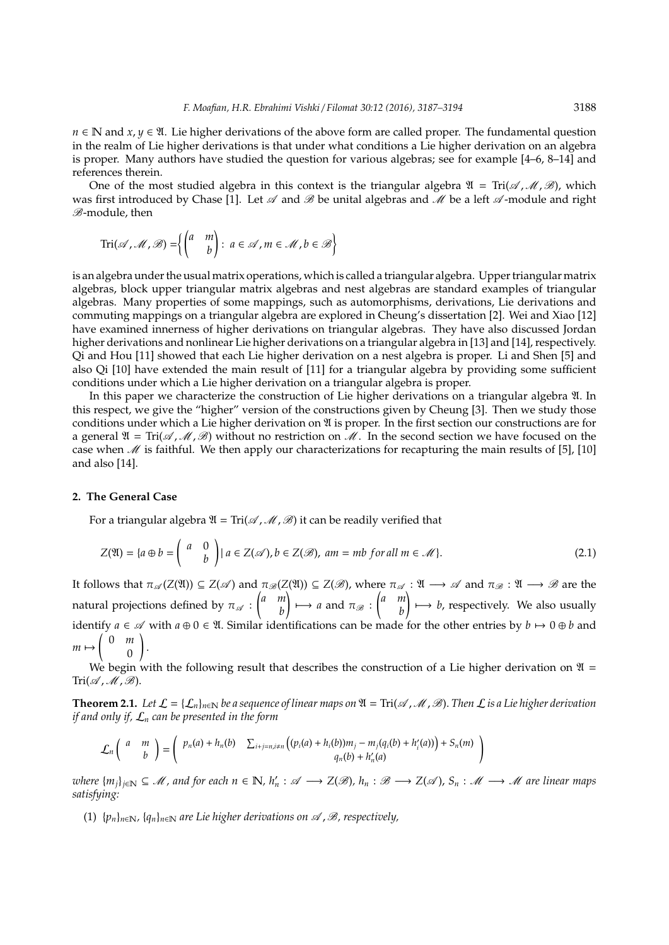*n* ∈ N and *x*, *y* ∈  $\mathfrak{A}$ . Lie higher derivations of the above form are called proper. The fundamental question in the realm of Lie higher derivations is that under what conditions a Lie higher derivation on an algebra is proper. Many authors have studied the question for various algebras; see for example [4–6, 8–14] and references therein.

One of the most studied algebra in this context is the triangular algebra  $\mathfrak{A} = \text{Tri}(\mathcal{A}, \mathcal{M}, \mathcal{B})$ , which was first introduced by Chase [1]. Let  $\mathscr A$  and  $\mathscr B$  be unital algebras and  $\mathscr M$  be a left  $\mathscr A$ -module and right B-module, then

$$
\operatorname{Tri}(\mathscr{A},\mathscr{M},\mathscr{B}) = \left\{ \begin{pmatrix} a & m \\ & b \end{pmatrix} : a \in \mathscr{A}, m \in \mathscr{M}, b \in \mathscr{B} \right\}
$$

is an algebra under the usual matrix operations, which is called a triangular algebra. Upper triangular matrix algebras, block upper triangular matrix algebras and nest algebras are standard examples of triangular algebras. Many properties of some mappings, such as automorphisms, derivations, Lie derivations and commuting mappings on a triangular algebra are explored in Cheung's dissertation [2]. Wei and Xiao [12] have examined innerness of higher derivations on triangular algebras. They have also discussed Jordan higher derivations and nonlinear Lie higher derivations on a triangular algebra in [13] and [14], respectively. Qi and Hou [11] showed that each Lie higher derivation on a nest algebra is proper. Li and Shen [5] and also Qi [10] have extended the main result of [11] for a triangular algebra by providing some sufficient conditions under which a Lie higher derivation on a triangular algebra is proper.

In this paper we characterize the construction of Lie higher derivations on a triangular algebra  $\mathfrak{A}$ . In this respect, we give the "higher" version of the constructions given by Cheung [3]. Then we study those conditions under which a Lie higher derivation on  $\mathfrak A$  is proper. In the first section our constructions are for a general  $\mathfrak{A} = \text{Tri}(\mathcal{A}, \mathcal{M}, \mathcal{B})$  without no restriction on  $\mathcal{M}$ . In the second section we have focused on the case when  $\mathcal M$  is faithful. We then apply our characterizations for recapturing the main results of [5], [10] and also [14].

### **2. The General Case**

For a triangular algebra  $\mathfrak{A} = \text{Tri}(\mathcal{A}, \mathcal{M}, \mathcal{B})$  it can be readily verified that

$$
Z(\mathfrak{A}) = \{a \oplus b = \begin{pmatrix} a & 0 \\ & b \end{pmatrix} | a \in Z(\mathscr{A}), b \in Z(\mathscr{B}), am = mb \text{ for all } m \in \mathscr{M}\}.
$$
 (2.1)

It follows that  $\pi_{\mathscr{A}}(Z(\mathfrak{A})) \subseteq Z(\mathscr{A})$  and  $\pi_{\mathscr{B}}(Z(\mathfrak{A})) \subseteq Z(\mathscr{B})$ , where  $\pi_{\mathscr{A}} : \mathfrak{A} \longrightarrow \mathscr{A}$  and  $\pi_{\mathscr{B}} : \mathfrak{A} \longrightarrow \mathscr{B}$  are the natural projections defined by  $\pi_{\mathscr{A}}$  : *a m b*  $\left(\begin{array}{cc} \rightarrow \rightarrow a \text{ and } \pi_{\mathscr{B}} : \begin{pmatrix} a & m \\ & b \end{pmatrix}\right)$ *b*  $\Big) \mapsto b$ , respectively. We also usually identify  $a \in \mathcal{A}$  with  $a \oplus 0 \in \mathfrak{A}$ . Similar identifications can be made for the other entries by  $b \mapsto 0 \oplus b$  and  $m \mapsto \begin{pmatrix} 0 & m \\ 0 & 0 \end{pmatrix}$  $\boldsymbol{0}$ ! .

We begin with the following result that describes the construction of a Lie higher derivation on  $\mathfrak{A}$  =  $Tri( A, M, B).$ 

**Theorem 2.1.** Let  $\mathcal{L} = \{\mathcal{L}_n\}_{n \in \mathbb{N}}$  be a sequence of linear maps on  $\mathfrak{A} = \text{Tri}(\mathcal{A}, \mathcal{M}, \mathcal{B})$ . Then  $\mathcal{L}$  is a Lie higher derivation *if and only if,* L*<sup>n</sup> can be presented in the form*

$$
\mathcal{L}_n\left(\begin{array}{cc}a & m \\ & b\end{array}\right)=\left(\begin{array}{cc}p_n(a)+h_n(b) & \sum_{i+j=n, i\neq n}\left((p_i(a)+h_i(b))m_j-m_j(q_i(b)+h'_i(a))\right)+S_n(m)\\ & q_n(b)+h'_n(a)\end{array}\right)
$$

 $\mathbb{Z}(\mathbb{Z})$  *where*  $\{m_j\}_{j\in\mathbb{N}}\subseteq\mathcal{M}$ , and for each  $n\in\mathbb{N}$ ,  $h'_n:\mathcal{A}\longrightarrow Z(\mathcal{B})$ ,  $h_n:\mathcal{B}\longrightarrow Z(\mathcal{A})$ ,  $S_n:\mathcal{M}\longrightarrow\mathcal{M}$  are linear maps *satisfying:*

(1)  $\{p_n\}_{n\in\mathbb{N}}$ ,  $\{q_n\}_{n\in\mathbb{N}}$  are Lie higher derivations on  $\mathscr A$ ,  $\mathscr B$ , respectively,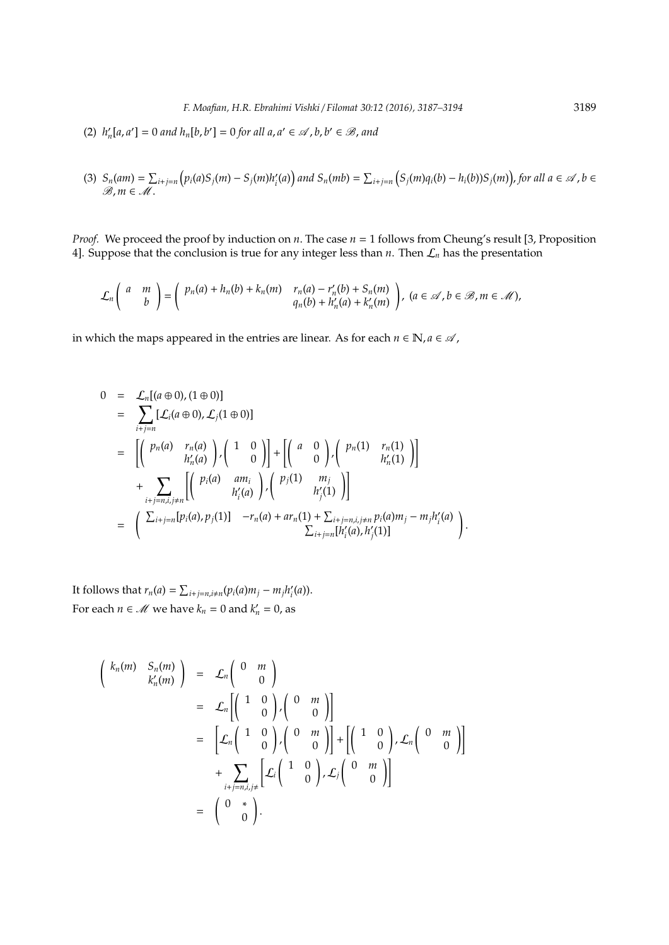(2)  $h'_n[a, a'] = 0$  and  $h_n[b, b'] = 0$  for all  $a, a' \in \mathcal{A}$ ,  $b, b' \in \mathcal{B}$ , and

(3) 
$$
S_n(am) = \sum_{i+j=n} \left( p_i(a)S_j(m) - S_j(m)h'_i(a) \right)
$$
 and  $S_n(mb) = \sum_{i+j=n} \left( S_j(m)q_i(b) - h_i(b)S_j(m) \right)$ , for all  $a \in \mathcal{A}$ ,  $b \in \mathcal{B}$ ,  $m \in \mathcal{M}$ .

*Proof.* We proceed the proof by induction on *n*. The case *n* = 1 follows from Cheung's result [3, Proposition 4]. Suppose that the conclusion is true for any integer less than *n*. Then  $\mathcal{L}_n$  has the presentation

$$
\mathcal{L}_n\left(\begin{array}{cc}a&m\\b\end{array}\right)=\left(\begin{array}{cc}\tp_n(a)+h_n(b)+k_n(m)&r_n(a)-r'_n(b)+S_n(m)\\q_n(b)+h'_n(a)+k'_n(m)\end{array}\right),\ (a\in\mathcal{A},b\in\mathcal{B},m\in\mathcal{M}),
$$

in which the maps appeared in the entries are linear. As for each  $n \in \mathbb{N}$ ,  $a \in \mathcal{A}$ ,

$$
0 = \mathcal{L}_{n}[(a \oplus 0), (1 \oplus 0)]
$$
  
\n
$$
= \sum_{i+j=n} [\mathcal{L}_{i}(a \oplus 0), \mathcal{L}_{j}(1 \oplus 0)]
$$
  
\n
$$
= \left[ \begin{pmatrix} p_{n}(a) & r_{n}(a) \\ h'_{n}(a) \end{pmatrix}, \begin{pmatrix} 1 & 0 \\ 0 \end{pmatrix} \right] + \left[ \begin{pmatrix} a & 0 \\ 0 \end{pmatrix}, \begin{pmatrix} p_{n}(1) & r_{n}(1) \\ h'_{n}(1) \end{pmatrix} \right]
$$
  
\n
$$
+ \sum_{i+j=n,i,j\neq n} \left[ \begin{pmatrix} p_{i}(a) & am_{i} \\ h'_{i}(a) \end{pmatrix}, \begin{pmatrix} p_{j}(1) & m_{j} \\ h'_{j}(1) \end{pmatrix} \right]
$$
  
\n
$$
= \left( \sum_{i+j=n} [p_{i}(a), p_{j}(1)] -r_{n}(a) + ar_{n}(1) + \sum_{i+j=n,i,j\neq n} p_{i}(a)m_{j} - m_{j}h'_{i}(a) \right).
$$

It follows that  $r_n(a) = \sum_{i+j=n, i \neq n} (p_i(a)m_j - m_jh'_i)$ *i* (*a*)). For each  $n \in \mathcal{M}$  we have  $k_n = 0$  and  $k'_n = 0$ , as

$$
\begin{pmatrix}\nk_n(m) & S_n(m) \\
k'_n(m)\n\end{pmatrix} = \mathcal{L}_n \begin{pmatrix}\n0 & m \\
0 & 0\n\end{pmatrix}
$$
\n
$$
= \mathcal{L}_n \begin{pmatrix}\n1 & 0 \\
0 & 0\n\end{pmatrix} \begin{pmatrix}\n0 & m \\
0 & 0\n\end{pmatrix} + \begin{pmatrix}\n1 & 0 \\
0 & 0\n\end{pmatrix} \mathcal{L}_n \begin{pmatrix}\n0 & m \\
0 & 0\n\end{pmatrix} + \sum_{i+j=n,i,j \neq} \left[\mathcal{L}_i \begin{pmatrix}\n1 & 0 \\
0 & 0\n\end{pmatrix}, \mathcal{L}_j \begin{pmatrix}\n0 & m \\
0 & 0\n\end{pmatrix}\right]
$$
\n
$$
= \begin{pmatrix}\n0 & * \\
0 & 0\n\end{pmatrix}.
$$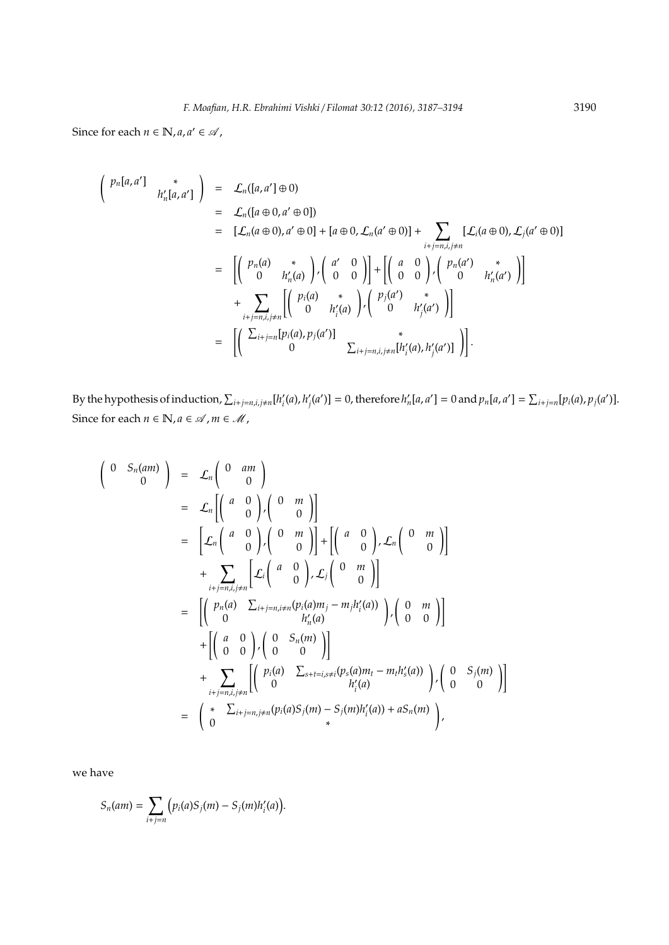Since for each  $n \in \mathbb{N}$ ,  $a, a' \in \mathcal{A}$ ,

$$
\begin{array}{rcl}\n\left(\begin{array}{cc} p_n[a,a'] & * \\ h'_n[a,a'] \end{array}\right) & = & \mathcal{L}_n([a \oplus 0,a' \oplus 0]) \\
& = & \left[\mathcal{L}_n(a \oplus 0), a' \oplus 0\right] + [a \oplus 0, \mathcal{L}_n(a' \oplus 0)] + \sum_{\substack{i+j=n, i, j\neq n}} [\mathcal{L}_i(a \oplus 0), \mathcal{L}_j(a' \oplus 0)] \\
& = & \left[\left(\begin{array}{cc} p_n(a) & * \\ 0 & h'_n(a) \end{array}\right), \left(\begin{array}{cc} a' & 0 \\ 0 & 0 \end{array}\right)\right] + \left[\left(\begin{array}{cc} a & 0 \\ 0 & 0 \end{array}\right), \left(\begin{array}{cc} p_n(a') & * \\ 0 & h'_n(a') \end{array}\right)\right] \\
& + & \sum_{\substack{i+j=n, i, j\neq n}} \left[\left(\begin{array}{cc} p_i(a) & * \\ 0 & h'_i(a) \end{array}\right), \left(\begin{array}{cc} p_j(a') & * \\ 0 & h'_j(a') \end{array}\right)\right] \\
& = & \left[\left(\begin{array}{cc} \sum_{i+j=n} [p_i(a), p_j(a')] & * \\ 0 & \sum_{i+j=n, i, j\neq n} [h'_i(a), h'_j(a')] \end{array}\right)\right].\n\end{array}
$$

By the hypothesis of induction,  $\sum_{i+j=n, i, j\neq n} [h'_i]$  $\binom{n}{i}$  $\mathcal{L}'_j(a^j) = 0$ , therefore  $h'_n[a, a^j] = 0$  and  $p_n[a, a^j] = \sum_{i+j=n} [p_i(a), p_j(a^j)].$ Since for each  $n \in \mathbb{N}, a \in \mathcal{A}$  ,  $m \in \mathcal{M}$  ,

$$
\begin{pmatrix}\n0 & S_n(am) \\
0 & 0\n\end{pmatrix} = \mathcal{L}_n \begin{pmatrix}\n0 & am \\
0 & 0\n\end{pmatrix} \\
= \mathcal{L}_n \begin{pmatrix}\n a & 0 \\
0 & 0\n\end{pmatrix}, \begin{pmatrix}\n0 & m \\
0 & 0\n\end{pmatrix} + \begin{pmatrix}\n a & 0 \\
0 & 0\n\end{pmatrix}, \mathcal{L}_n \begin{pmatrix}\n0 & m \\
0 & 0\n\end{pmatrix} \\
+ \sum_{i+j=n,i,j\neq n} \mathcal{L}_i \begin{pmatrix}\n a & 0 \\
0 & 0\n\end{pmatrix}, \mathcal{L}_j \begin{pmatrix}\n 0 & m \\
0 & 0\n\end{pmatrix} \\
= \begin{bmatrix}\n\begin{pmatrix}\np_n(a) & \sum_{i+j=n,i\neq n}(p_i(a)m_j - m_jh_i'(a)) \\
0 & h_n'(a)\n\end{pmatrix}, \begin{pmatrix}\n 0 & m \\
0 & 0\n\end{pmatrix}\n\end{pmatrix} \\
+ \begin{bmatrix}\n\begin{pmatrix}\na & 0 \\
0 & 0\n\end{pmatrix}, \begin{pmatrix}\n 0 & S_n(m) \\
0 & 0\n\end{pmatrix}\n\end{bmatrix} \\
+ \sum_{i+j=n,i,j\neq n} \begin{bmatrix}\np_i(a) & \sum_{s+t=i,s\neq i}(p_s(a)m_t - m_th_s'(a)) \\
h_i'(a) & h_i'(a)\n\end{bmatrix}, \begin{pmatrix}\n 0 & S_j(m) \\
0 & 0\n\end{pmatrix}\n\end{pmatrix}
$$
\n
$$
= \begin{pmatrix}\n\ast & \sum_{i+j=n,i\neq n}(p_i(a)S_j(m) - S_j(m)h_i'(a)) + aS_n(m)\n\end{pmatrix},
$$

we have

$$
S_n(am) = \sum_{i+j=n} (p_i(a)S_j(m) - S_j(m)h'_i(a)).
$$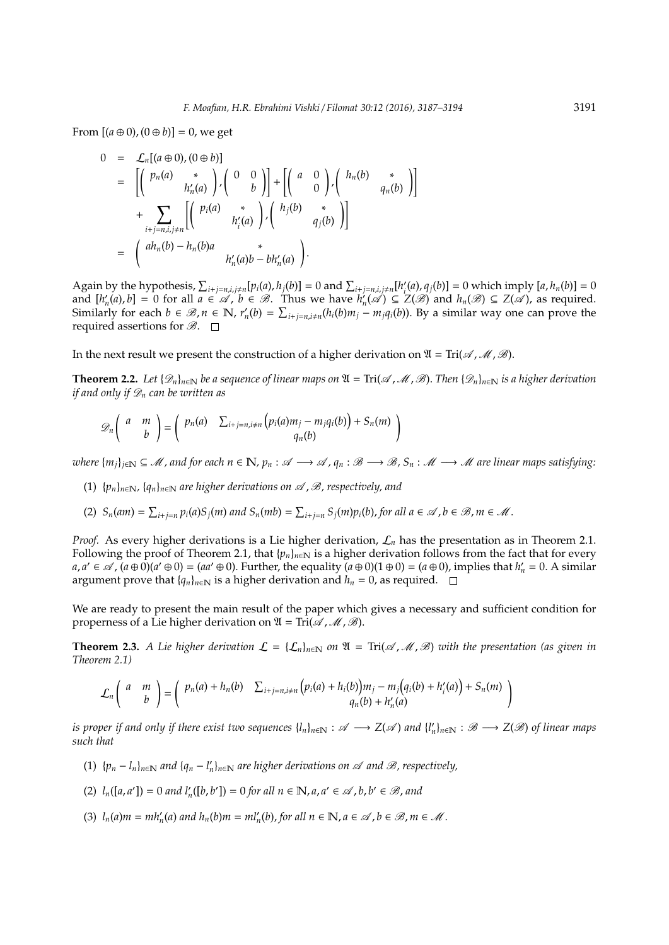From  $[(a \oplus 0), (0 \oplus b)] = 0$ , we get

$$
0 = \mathcal{L}_n[(a \oplus 0), (0 \oplus b)]
$$
  
\n
$$
= \left[ \begin{pmatrix} p_n(a) & * \\ h'_n(a) & \cdot \\ \cdot & h'_n(a) \end{pmatrix}, \begin{pmatrix} 0 & 0 \\ & b \end{pmatrix} \right] + \left[ \begin{pmatrix} a & 0 \\ 0 & \cdot \\ \cdot & h'_n(b) \end{pmatrix}, \begin{pmatrix} h_n(b) & * \\ h_n(b) & \cdot \\ \cdot & h'_n(b) \end{pmatrix} \right]
$$
  
\n
$$
= \left( \begin{pmatrix} a h_n(b) - h_n(b) a & * \\ h'_n(a) b - b h'_n(a) \end{pmatrix} \right).
$$

Again by the hypothesis,  $\sum_{i+j=n,i,j\neq n} [p_i(a), h_j(b)] = 0$  and  $\sum_{i+j=n,i,j\neq n} [h'_i]$  $I'_i(a), q_j(b)$ ] = 0 which imply  $[a, h_n(b)] = 0$ and  $[h'_n(a), b] = 0$  for all  $a \in \mathcal{A}$ ,  $b \in \mathcal{B}$ . Thus we have  $h'_n(\mathcal{A}) \subseteq Z(\mathcal{B})$  and  $h_n(\mathcal{B}) \subseteq Z(\mathcal{A})$ , as required. Similarly for each  $b \in \mathcal{B}$ ,  $n \in \mathbb{N}$ ,  $r'_n(b) = \sum_{i+j=n, i\neq n} (h_i(b)m_j - m_j q_i(b))$ . By a similar way one can prove the required assertions for  $\mathscr{B}$ .  $\square$ 

In the next result we present the construction of a higher derivation on  $\mathfrak{A} = \text{Tri}(\mathcal{A}, \mathcal{M}, \mathcal{B})$ .

**Theorem 2.2.** Let  $\{\mathscr{D}_n\}_{n\in\mathbb{N}}$  be a sequence of linear maps on  $\mathfrak{A} = \text{Tri}(\mathscr{A}, \mathscr{M}, \mathscr{B})$ . Then  $\{\mathscr{D}_n\}_{n\in\mathbb{N}}$  is a higher derivation *if and only if*  $\mathcal{D}_n$  *can be written as* 

$$
\mathscr{D}_n\left(\begin{array}{cc}a&m\\b\end{array}\right)=\left(\begin{array}{cc}\mathcal{P}_n(a)&\sum_{i+j=n,i\neq n}\left(\mathcal{P}_i(a)m_j-m_jq_i(b)\right)+S_n(m)\\q_n(b)\end{array}\right)
$$

*where*  ${m_i}_{i \in \mathbb{N}}$  ⊆ *M*, and for each  $n \in \mathbb{N}$ ,  $p_n : \mathcal{A} \longrightarrow \mathcal{A}$ ,  $q_n : \mathcal{B} \longrightarrow \mathcal{B}$ ,  $S_n : \mathcal{M} \longrightarrow \mathcal{M}$  are linear maps satisfying:

- (1)  $\{p_n\}_{n\in\mathbb{N}}$ ,  $\{q_n\}_{n\in\mathbb{N}}$  are higher derivations on  $\mathscr A$ ,  $\mathscr B$ , respectively, and
- (2)  $S_n(am) = \sum_{i+j=n} p_i(a)S_j(m)$  and  $S_n(mb) = \sum_{i+j=n} S_j(m)p_i(b)$ , for all  $a \in \mathcal{A}$ ,  $b \in \mathcal{B}$ ,  $m \in \mathcal{M}$ .

*Proof.* As every higher derivations is a Lie higher derivation,  $\mathcal{L}_n$  has the presentation as in Theorem 2.1. Following the proof of Theorem 2.1, that  $\{p_n\}_{n\in\mathbb{N}}$  is a higher derivation follows from the fact that for every  $a, a' \in \mathscr{A}$ ,  $(a \oplus 0)(a' \oplus 0) = (aa' \oplus 0)$ . Further, the equality  $(a \oplus 0)(1 \oplus 0) = (a \oplus 0)$ , implies that  $h'_n = 0$ . A similar argument prove that  ${q_n}_{n \in \mathbb{N}}$  is a higher derivation and  $h_n = 0$ , as required.  $\Box$ 

We are ready to present the main result of the paper which gives a necessary and sufficient condition for properness of a Lie higher derivation on  $\mathfrak{A} = \text{Tri}(\mathcal{A}, \mathcal{M}, \mathcal{B})$ .

**Theorem 2.3.** *A Lie higher derivation*  $\mathcal{L} = \{ \mathcal{L}_n \}_{n \in \mathbb{N}}$  *on*  $\mathfrak{A} = \text{Tri}(\mathcal{A}, \mathcal{M}, \mathcal{B})$  *with the presentation (as given in*) *Theorem 2.1)*

$$
\mathcal{L}_n\left(\begin{array}{cc}a&m\\b\end{array}\right)=\left(\begin{array}{cc}p_n(a)+h_n(b)&\sum_{i+j=n,i\neq n}\left(p_i(a)+h_i(b)\right)m_j-m_j\left(q_i(b)+h'_i(a)\right)+S_n(m)\\q_n(b)+h'_n(a)\end{array}\right)
$$

*is proper if and only if there exist two sequences*  $\{l_n\}_{n\in\mathbb{N}}:\mathscr{A}\longrightarrow Z(\mathscr{A})$  *and*  $\{l'_n\}_{n\in\mathbb{N}}:\mathscr{B}\longrightarrow Z(\mathscr{B})$  *of linear maps such that*

- (1)  ${p_n l_n}_{n \in \mathbb{N}}$  and  ${q_n l'_n}_{n \in \mathbb{N}}$  are higher derivations on *△* and *B*, respectively,
- (2)  $l_n([a, a']) = 0$  and  $l'_n([b, b']) = 0$  for all  $n \in \mathbb{N}, a, a' \in \mathcal{A}, b, b' \in \mathcal{B},$  and
- (3)  $l_n(a)m = mh'_n(a)$  and  $h_n(b)m = ml'_n(b)$ , for all  $n \in \mathbb{N}, a \in \mathcal{A}, b \in \mathcal{B}, m \in \mathcal{M}$ .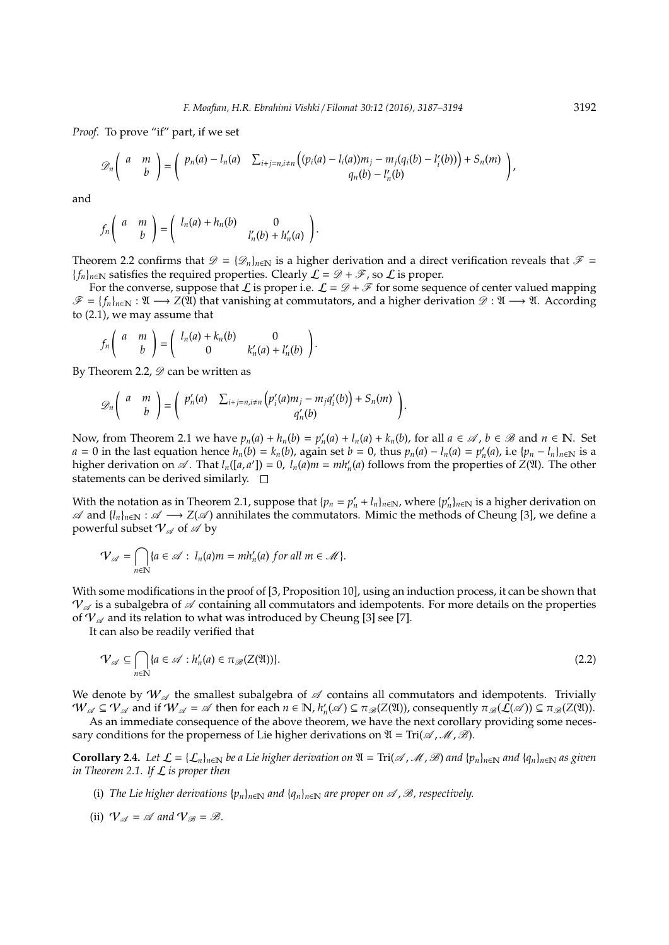*Proof.* To prove "if" part, if we set

$$
\mathcal{D}_n\left(\begin{array}{cc}a & m \\ & b\end{array}\right)=\left(\begin{array}{cc}p_n(a)-l_n(a) & \sum_{i+j=n,i\neq n}\left((p_i(a)-l_i(a))m_j-m_j(q_i(b)-l'_i(b))\right)+S_n(m)\\ & q_n(b)-l'_n(b)\end{array}\right)
$$

and

$$
f_n\left(\begin{array}{cc}a&m\\b\end{array}\right)=\left(\begin{array}{cc}l_n(a)+h_n(b)&0\\&l'_n(b)+h'_n(a)\end{array}\right).
$$

Theorem 2.2 confirms that  $\mathscr{D} = {\mathscr{D}_n}_{n \in \mathbb{N}}$  is a higher derivation and a direct verification reveals that  $\mathscr{F} =$ {*f<sub>n</sub>*}<sub>*n*∈N</sub> satisfies the required properties. Clearly  $\mathcal{L} = \mathcal{D} + \mathcal{F}$ , so  $\mathcal{L}$  is proper.

For the converse, suppose that L is proper i.e.  $\mathcal{L} = \mathcal{D} + \mathcal{F}$  for some sequence of center valued mapping  $\mathscr{F} = \{f_n\}_{n \in \mathbb{N}} : \mathfrak{A} \longrightarrow Z(\mathfrak{A})$  that vanishing at commutators, and a higher derivation  $\mathscr{D} : \mathfrak{A} \longrightarrow \mathfrak{A}$ . According to (2.1), we may assume that

$$
f_n\left(\begin{array}{cc}a&m\\b\end{array}\right)=\left(\begin{array}{cc}l_n(a)+k_n(b)&0\\0&k'_n(a)+l'_n(b)\end{array}\right).
$$

By Theorem 2.2,  $\mathscr{D}$  can be written as

$$
\mathscr{D}_n\left(\begin{array}{cc}a&m\\b\end{array}\right)=\left(\begin{array}{cc}p'_n(a)&\sum_{i+j=n,i\neq n}\left(p'_i(a)m_j-m_jq'_i(b)\right)+S_n(m)\\q'_n(b)\end{array}\right).
$$

Now, from Theorem 2.1 we have  $p_n(a) + h_n(b) = p'_n(a) + l_n(a) + k_n(b)$ , for all  $a \in \mathcal{A}$ ,  $b \in \mathcal{B}$  and  $n \in \mathbb{N}$ . Set  $a = 0$  in the last equation hence  $h_n(b) = k_n(b)$ , again set  $b = 0$ , thus  $p_n(a) - l_n(a) = p'_n(a)$ , i.e  $\{p_n - l_n\}_{n \in \mathbb{N}}$  is a higher derivation on  $\mathscr A$ . That  $l_n([a,a']) = 0$ ,  $l_n(a)m = mh'_n(a)$  follows from the properties of  $Z(\mathfrak A)$ . The other statements can be derived similarly.  $\square$ 

With the notation as in Theorem 2.1, suppose that  $\{p_n = p'_n + l_n\}_{n \in \mathbb{N}}$ , where  $\{p'_n\}_{n \in \mathbb{N}}$  is a higher derivation on  $\mathscr A$  and {*l*<sub>*n*</sub>}<sub>*n*∈N</sub> :  $\mathscr A$  →  $Z(\mathscr A)$  annihilates the commutators. Mimic the methods of Cheung [3], we define a powerful subset  $V_\mathscr{A}$  of  $\mathscr{A}$  by

$$
\mathcal{V}_{\mathscr{A}} = \bigcap_{n \in \mathbb{N}} \{a \in \mathscr{A} : l_n(a)m = mh'_n(a) \text{ for all } m \in \mathscr{M}\}.
$$

With some modifications in the proof of [3, Proposition 10], using an induction process, it can be shown that  $V_{\mathscr{A}}$  is a subalgebra of  $\mathscr A$  containing all commutators and idempotents. For more details on the properties of  $V_{\mathscr{A}}$  and its relation to what was introduced by Cheung [3] see [7].

It can also be readily verified that

$$
\mathcal{V}_{\mathscr{A}} \subseteq \bigcap_{n \in \mathbb{N}} \{a \in \mathscr{A} : h'_n(a) \in \pi_{\mathscr{B}}(Z(\mathfrak{A}))\}.
$$
\n(2.2)

We denote by  $W_{\mathscr{A}}$  the smallest subalgebra of  $\mathscr A$  contains all commutators and idempotents. Trivially  $W_\mathscr{A} \subseteq \mathcal{V}_\mathscr{A}$  and if  $W_\mathscr{A} = \mathscr{A}$  then for each  $n \in \mathbb{N}$ ,  $h'_n(\mathscr{A}) \subseteq \pi_\mathscr{B}(Z(\mathfrak{A}))$ , consequently  $\pi_\mathscr{B}(\mathcal{L}(\mathscr{A})) \subseteq \pi_\mathscr{B}(Z(\mathfrak{A}))$ .

As an immediate consequence of the above theorem, we have the next corollary providing some necessary conditions for the properness of Lie higher derivations on  $\mathfrak{A} = \text{Tri}(\mathcal{A}, \mathcal{M}, \mathcal{B})$ .

**Corollary 2.4.** Let  $\mathcal{L} = \{\mathcal{L}_n\}_{n\in\mathbb{N}}$  be a Lie higher derivation on  $\mathfrak{A} = \text{Tri}(\mathcal{A}, \mathcal{M}, \mathcal{B})$  and  $\{p_n\}_{n\in\mathbb{N}}$  and  $\{q_n\}_{n\in\mathbb{N}}$  as given *in Theorem 2.1. If* L *is proper then*

- (i) *The Lie higher derivations*  $\{p_n\}_{n\in\mathbb{N}}$  *and*  $\{q_n\}_{n\in\mathbb{N}}$  *are proper on*  $\mathcal A$ ,  $\mathcal B$ , respectively.
- (ii)  $V_{\mathscr{A}} = \mathscr{A}$  and  $V_{\mathscr{B}} = \mathscr{B}$ .

,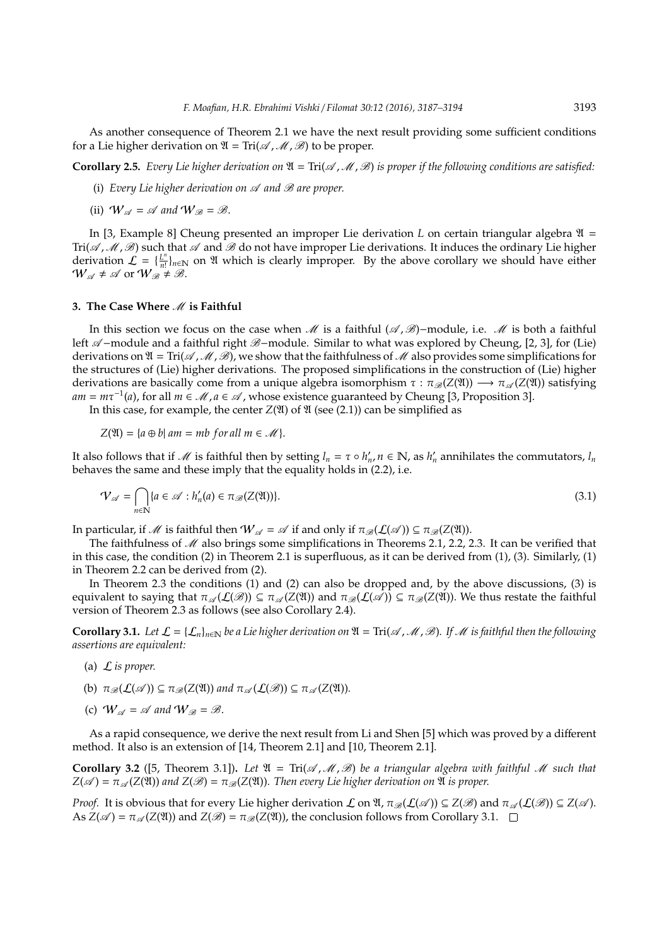As another consequence of Theorem 2.1 we have the next result providing some sufficient conditions for a Lie higher derivation on  $\mathfrak{A} = \text{Tri}(\mathcal{A}, \mathcal{M}, \mathcal{B})$  to be proper.

**Corollary 2.5.** *Every Lie higher derivation on*  $\mathfrak{A} = \text{Tri}(\mathcal{A}, \mathcal{M}, \mathcal{B})$  *is proper if the following conditions are satisfied:* 

- (i) *Every Lie higher derivation on*  $\mathscr A$  *and*  $\mathscr B$  *are proper.*
- (ii)  $W_{\mathscr{A}} = \mathscr{A}$  and  $W_{\mathscr{B}} = \mathscr{B}$ .

In [3, Example 8] Cheung presented an improper Lie derivation *L* on certain triangular algebra  $\mathfrak{A}$  =  $Tri(\mathscr{A},\mathscr{M},\mathscr{B})$  such that  $\mathscr{A}$  and  $\mathscr{B}$  do not have improper Lie derivations. It induces the ordinary Lie higher derivation  $\mathcal{L} = \{\frac{L^n}{n!} \}$  $L^{\frac{n}{n!}}$ ,  $\bigcap_{n\in\mathbb{N}}$  on  $\mathfrak A$  which is clearly improper. By the above corollary we should have either  $W_{\mathscr{A}} \neq \mathscr{A}$  or  $W_{\mathscr{B}} \neq \mathscr{B}$ .

#### **3. The Case Where**  $\mathcal{M}$  **is Faithful**

In this section we focus on the case when  $\mathcal M$  is a faithful ( $\mathcal A$ ,  $\mathcal B$ )−module, i.e.  $\mathcal M$  is both a faithful left  $\mathscr A$ -module and a faithful right  $\mathscr B$ -module. Similar to what was explored by Cheung, [2, 3], for (Lie) derivations on  $\mathfrak{A} = \text{Tri}(\mathcal{A}, \mathcal{M}, \mathcal{B})$ , we show that the faithfulness of  $\mathcal{M}$  also provides some simplifications for the structures of (Lie) higher derivations. The proposed simplifications in the construction of (Lie) higher derivations are basically come from a unique algebra isomorphism  $\tau : \pi_{\mathscr{B}}(Z(\mathfrak{A})) \longrightarrow \pi_{\mathscr{A}}(Z(\mathfrak{A}))$  satisfying  $am = m\tau^{-1}(a)$ , for all  $m \in \mathcal{M}$ ,  $a \in \mathcal{A}$ , whose existence guaranteed by Cheung [3, Proposition 3].

In this case, for example, the center  $Z(\mathfrak{A})$  of  $\mathfrak A$  (see (2.1)) can be simplified as

 $Z(\mathfrak{A}) = \{a \oplus b \mid am = mb \ for \ all \ m \in \mathcal{M}\}.$ 

It also follows that if  $M$  is faithful then by setting  $l_n = \tau \circ h'_n$ ,  $n \in \mathbb{N}$ , as  $h'_n$  annihilates the commutators,  $l_n$ behaves the same and these imply that the equality holds in (2.2), i.e.

$$
\mathcal{V}_{\mathscr{A}} = \bigcap_{n \in \mathbb{N}} \{a \in \mathscr{A} : h'_n(a) \in \pi_{\mathscr{B}}(Z(\mathfrak{A}))\}.
$$
\n(3.1)

In particular, if *M* is faithful then  $W_{\mathscr{A}} = \mathscr{A}$  if and only if  $\pi_{\mathscr{B}}(\mathcal{L}(\mathscr{A})) \subseteq \pi_{\mathscr{B}}(Z(\mathfrak{A}))$ .

The faithfulness of  $\mathcal M$  also brings some simplifications in Theorems 2.1, 2.2, 2.3. It can be verified that in this case, the condition (2) in Theorem 2.1 is superfluous, as it can be derived from (1), (3). Similarly, (1) in Theorem 2.2 can be derived from (2).

In Theorem 2.3 the conditions (1) and (2) can also be dropped and, by the above discussions, (3) is equivalent to saying that  $\pi_{\mathscr{A}}(\mathcal{L}(\mathscr{B})) \subseteq \pi_{\mathscr{A}}(\mathcal{Z}(\mathfrak{A}))$  and  $\pi_{\mathscr{B}}(\mathcal{L}(\mathscr{A})) \subseteq \pi_{\mathscr{B}}(\mathcal{Z}(\mathfrak{A}))$ . We thus restate the faithful version of Theorem 2.3 as follows (see also Corollary 2.4).

**Corollary 3.1.** *Let*  $\mathcal{L} = \{\mathcal{L}_n\}_{n\in\mathbb{N}}$  *be a Lie higher derivation on*  $\mathfrak{A} = \text{Tri}(\mathcal{A},\mathcal{M},\mathcal{B})$ *. If*  $\mathcal{M}$  *is faithful then the following assertions are equivalent:*

- (a) L *is proper.*
- (b)  $\pi_{\mathscr{B}}(\mathcal{L}(\mathscr{A})) \subseteq \pi_{\mathscr{B}}(Z(\mathfrak{A}))$  *and*  $\pi_{\mathscr{A}}(\mathcal{L}(\mathscr{B})) \subseteq \pi_{\mathscr{A}}(Z(\mathfrak{A})).$
- (c)  $W_{\mathscr{A}} = \mathscr{A}$  and  $W_{\mathscr{B}} = \mathscr{B}$ .

As a rapid consequence, we derive the next result from Li and Shen [5] which was proved by a different method. It also is an extension of [14, Theorem 2.1] and [10, Theorem 2.1].

**Corollary 3.2** ([5, Theorem 3.1]). Let  $\mathfrak{A} = \text{Tri}(\mathcal{A}, \mathcal{M}, \mathcal{B})$  be a triangular algebra with faithful  $\mathcal{M}$  such that  $Z(\mathscr{A}) = \pi_{\mathscr{A}}(Z(\mathfrak{A}))$  *and*  $Z(\mathscr{B}) = \pi_{\mathscr{B}}(Z(\mathfrak{A}))$ *. Then every Lie higher derivation on*  $\mathfrak A$  *is proper.* 

*Proof.* It is obvious that for every Lie higher derivation  $\mathcal L$  on  $\mathfrak A$ ,  $\pi_{\mathscr B}(\mathcal L(\mathscr A)) \subseteq Z(\mathscr B)$  and  $\pi_{\mathscr A}(\mathcal L(\mathscr B)) \subseteq Z(\mathscr A)$ . As  $Z(\mathscr{A}) = \pi_{\mathscr{A}}(Z(\mathfrak{A}))$  and  $Z(\mathscr{B}) = \pi_{\mathscr{B}}(Z(\mathfrak{A}))$ , the conclusion follows from Corollary 3.1.  $\Box$